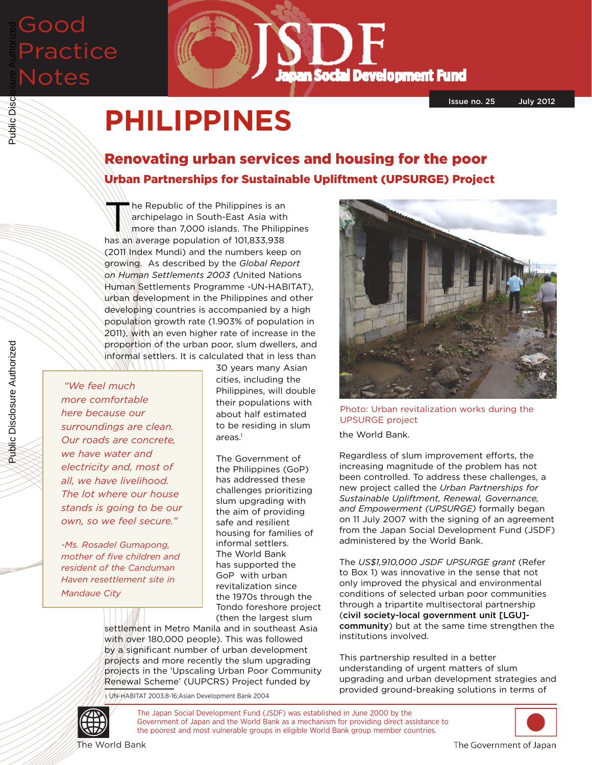## Good Practice Notes Public Disclosure Authorized



Issue no. 25 July 2012

# **PHILIPPINES**

### Renovating urban services and housing for the poor Urban Partnerships for Sustainable Upliftment (UPSURGE) Project

The Republic of the Philippines is an<br>
archipelago in South-East Asia with<br>
more than 7,000 islands. The Philippines<br>
had a 272,078 archipelago in South-East Asia with more than 7,000 islands. The Philippines has an average population of 101,833,938 (2011 Index Mundi) and the numbers keep on growing. As described by the *Global Report on Human Settlements 2003 (*United Nations Human Settlements Programme -UN-HABITAT), urban development in the Philippines and other developing countries is accompanied by a high population growth rate (1.903% of population in 2011), with an even higher rate of increase in the proportion of the urban poor, slum dwellers, and informal settlers. It is calculated that in less than

*"We feel much more comfortable here because our surroundings are clean. Our roads are concrete, we have water and electricity and, most of all, we have livelihood. The lot where our house stands is going to be our own, so we feel secure."*

*-Ms. Rosadel Gumapong, mother of five children and resident of the Canduman Haven resettlement site in Mandaue City*

30 years many Asian cities, including the Philippines, will double their populations with about half estimated to be residing in slum  $area<sup>1</sup>$ 

The Government of the Philippines (GoP) has addressed these challenges prioritizing slum upgrading with the aim of providing safe and resilient housing for families of informal settlers. The World Bank has supported the GoP with urban revitalization since the 1970s through the Tondo foreshore project (then the largest slum

settlement in Metro Manila and in southeast Asia with over 180,000 people). This was followed by a significant number of urban development projects and more recently the slum upgrading projects in the 'Upscaling Urban Poor Community Renewal Scheme' (UUPCRS) Project funded by

1 UN-HABITAT 2003:8-16;Asian Development Bank 2004



Photo: Urban revitalization works during the UPSURGE project

the World Bank.

Regardless of slum improvement efforts, the increasing magnitude of the problem has not been controlled. To address these challenges, a new project called the *Urban Partnerships for Sustainable Upliftment, Renewal, Governance, and Empowerment (UPSURGE)* formally began on 11 July 2007 with the signing of an agreement from the Japan Social Development Fund (JSDF) administered by the World Bank.

The *US\$1,910,000 JSDF UPSURGE grant* (Refer to Box 1) was innovative in the sense that not only improved the physical and environmental conditions of selected urban poor communities through a tripartite multisectoral partnership (civil society-local government unit [LGU] community) but at the same time strengthen the institutions involved.

This partnership resulted in a better understanding of urgent matters of slum upgrading and urban development strategies and provided ground-breaking solutions in terms of



The Japan Social Development Fund (JSDF) was established in June 2000 by the Government of Japan and the World Bank as a mechanism for providing direct assistance to the poorest and most vulnerable groups in eligible World Bank group member countries.



The World Bank

The Government of Japan

Public Disclosure Authorized

Public Disclosure Authorized

Public Disc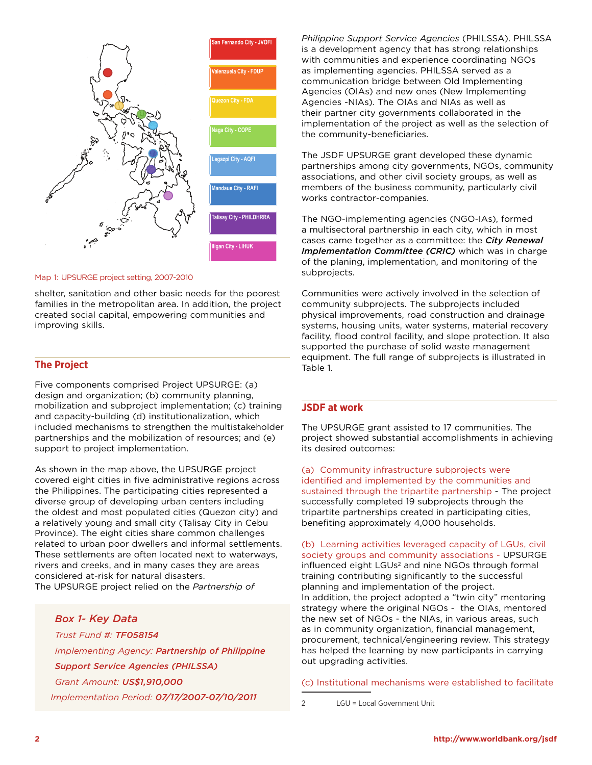

#### Map 1: UPSURGE project setting, 2007-2010

shelter, sanitation and other basic needs for the poorest families in the metropolitan area. In addition, the project created social capital, empowering communities and improving skills.

#### **The Project**

Five components comprised Project UPSURGE: (a) design and organization; (b) community planning, mobilization and subproject implementation; (c) training and capacity-building (d) institutionalization, which included mechanisms to strengthen the multistakeholder partnerships and the mobilization of resources; and (e) support to project implementation.

As shown in the map above, the UPSURGE project covered eight cities in five administrative regions across the Philippines. The participating cities represented a diverse group of developing urban centers including the oldest and most populated cities (Quezon city) and a relatively young and small city (Talisay City in Cebu Province). The eight cities share common challenges related to urban poor dwellers and informal settlements. These settlements are often located next to waterways, rivers and creeks, and in many cases they are areas considered at-risk for natural disasters. The UPSURGE project relied on the *Partnership of* 

*Box 1- Key Data Trust Fund #: TF058154 Implementing Agency: Partnership of Philippine Support Service Agencies (PHILSSA) Grant Amount: US\$1,910,000 Implementation Period: 07/17/2007-07/10/2011*

*Philippine Support Service Agencies* (PHILSSA). PHILSSA is a development agency that has strong relationships with communities and experience coordinating NGOs as implementing agencies. PHILSSA served as a communication bridge between Old Implementing Agencies (OIAs) and new ones (New Implementing Agencies -NIAs). The OIAs and NIAs as well as their partner city governments collaborated in the implementation of the project as well as the selection of the community-beneficiaries.

The JSDF UPSURGE grant developed these dynamic partnerships among city governments, NGOs, community associations, and other civil society groups, as well as members of the business community, particularly civil works contractor-companies.

The NGO-implementing agencies (NGO-IAs), formed a multisectoral partnership in each city, which in most cases came together as a committee: the *City Renewal Implementation Committee (CRIC)* which was in charge of the planing, implementation, and monitoring of the subprojects.

Communities were actively involved in the selection of community subprojects. The subprojects included physical improvements, road construction and drainage systems, housing units, water systems, material recovery facility, flood control facility, and slope protection. It also supported the purchase of solid waste management equipment. The full range of subprojects is illustrated in Table 1.

#### **JSDF at work**

The UPSURGE grant assisted to 17 communities. The project showed substantial accomplishments in achieving its desired outcomes:

(a) Community infrastructure subprojects were identified and implemented by the communities and sustained through the tripartite partnership - The project successfully completed 19 subprojects through the tripartite partnerships created in participating cities, benefiting approximately 4,000 households.

(b) Learning activities leveraged capacity of LGUs, civil society groups and community associations - UPSURGE influenced eight LGUs<sup>2</sup> and nine NGOs through formal training contributing significantly to the successful planning and implementation of the project. In addition, the project adopted a "twin city" mentoring strategy where the original NGOs - the OIAs, mentored the new set of NGOs - the NIAs, in various areas, such as in community organization, financial management, procurement, technical/engineering review. This strategy has helped the learning by new participants in carrying out upgrading activities.

(c) Institutional mechanisms were established to facilitate

2 LGU = Local Government Unit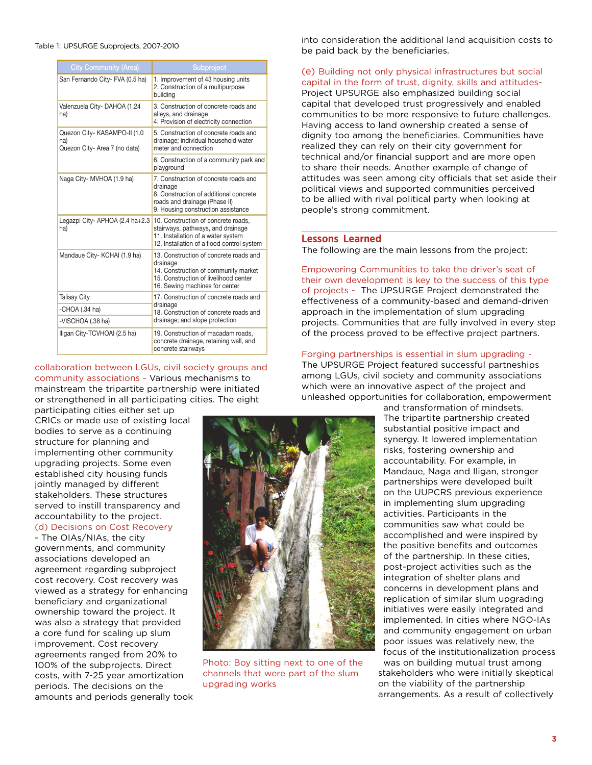#### Table 1: UPSURGE Subprojects, 2007-2010

| <b>City Community (Area)</b>                                         | Subproject                                                                                                                                                            |
|----------------------------------------------------------------------|-----------------------------------------------------------------------------------------------------------------------------------------------------------------------|
| San Fernando City- FVA (0.5 ha)                                      | 1. Improvement of 43 housing units<br>2. Construction of a multipurpose<br>buildina                                                                                   |
| Valenzuela City-DAHOA (1.24<br>ha)                                   | 3. Construction of concrete roads and<br>alleys, and drainage<br>4. Provision of electricity connection                                                               |
| Quezon City- KASAMPO-II (1.0<br>ha)<br>Quezon City- Area 7 (no data) | 5. Construction of concrete roads and<br>drainage; individual household water<br>meter and connection                                                                 |
|                                                                      | 6. Construction of a community park and<br>playground                                                                                                                 |
| Naga City- MVHOA (1.9 ha)                                            | 7. Construction of concrete roads and<br>drainage<br>8. Construction of additional concrete<br>roads and drainage (Phase II)<br>9. Housing construction assistance    |
| Legazpi City- APHOA (2.4 ha+2.3<br>ha)                               | 10. Construction of concrete roads.<br>stairways, pathways, and drainage<br>11. Installation of a water system<br>12. Installation of a flood control system          |
| Mandaue City- KCHAI (1.9 ha)                                         | 13. Construction of concrete roads and<br>drainage<br>14. Construction of community market<br>15. Construction of livelihood center<br>16. Sewing machines for center |
| <b>Talisay City</b>                                                  | 17. Construction of concrete roads and<br>drainage<br>18. Construction of concrete roads and<br>drainage; and slope protection                                        |
| -CHOA $(.34$ ha)                                                     |                                                                                                                                                                       |
| -VISCHOA (.38 ha)                                                    |                                                                                                                                                                       |
| Iligan City-TCVHOAI (2.5 ha)                                         | 19. Construction of macadam roads.<br>concrete drainage, retaining wall, and<br>concrete stairways                                                                    |

#### collaboration between LGUs, civil society groups and community associations - Various mechanisms to mainstream the tripartite partnership were initiated or strengthened in all participating cities. The eight

participating cities either set up CRICs or made use of existing local bodies to serve as a continuing structure for planning and implementing other community upgrading projects. Some even established city housing funds jointly managed by different stakeholders. These structures served to instill transparency and accountability to the project. (d) Decisions on Cost Recovery

- The OIAs/NIAs, the city governments, and community associations developed an agreement regarding subproject cost recovery. Cost recovery was viewed as a strategy for enhancing beneficiary and organizational ownership toward the project. It was also a strategy that provided a core fund for scaling up slum improvement. Cost recovery agreements ranged from 20% to 100% of the subprojects. Direct costs, with 7-25 year amortization periods. The decisions on the amounts and periods generally took into consideration the additional land acquisition costs to be paid back by the beneficiaries.

#### (e) Building not only physical infrastructures but social capital in the form of trust, dignity, skills and attitudes-

Project UPSURGE also emphasized building social capital that developed trust progressively and enabled communities to be more responsive to future challenges. Having access to land ownership created a sense of dignity too among the beneficiaries. Communities have realized they can rely on their city government for technical and/or financial support and are more open to share their needs. Another example of change of attitudes was seen among city officials that set aside their political views and supported communities perceived to be allied with rival political party when looking at people's strong commitment.

#### **Lessons Learned**

The following are the main lessons from the project:

Empowering Communities to take the driver's seat of their own development is key to the success of this type of projects - The UPSURGE Project demonstrated the effectiveness of a community-based and demand-driven approach in the implementation of slum upgrading projects. Communities that are fully involved in every step of the process proved to be effective project partners.

#### Forging partnerships is essential in slum upgrading -

The UPSURGE Project featured successful partneships among LGUs, civil society and community associations which were an innovative aspect of the project and unleashed opportunities for collaboration, empowerment







Photo: Boy sitting next to one of the channels that were part of the slum upgrading works